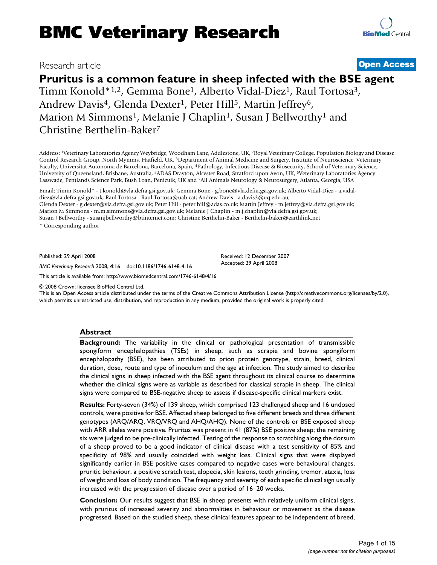# Research article **[Open Access](http://www.biomedcentral.com/info/about/charter/)**

**[BioMed](http://www.biomedcentral.com/)** Central

# **Pruritus is a common feature in sheep infected with the BSE agent**

Timm Konold\*1,2, Gemma Bone1, Alberto Vidal-Diez1, Raul Tortosa3, Andrew Davis<sup>4</sup>, Glenda Dexter<sup>1</sup>, Peter Hill<sup>5</sup>, Martin Jeffrey<sup>6</sup>, Marion M Simmons<sup>1</sup>, Melanie J Chaplin<sup>1</sup>, Susan J Bellworthy<sup>1</sup> and Christine Berthelin-Baker7

Address: 1Veterinary Laboratories Agency Weybridge, Woodham Lane, Addlestone, UK, 2Royal Veterinary College, Population Biology and Disease Control Research Group, North Mymms, Hatfield, UK, 3Department of Animal Medicine and Surgery, Institute of Neuroscience, Veterinary Faculty, Universitat Autònoma de Barcelona, Barcelona, Spain, 4Pathology, Infectious Disease & Biosecurity, School of Veterinary Science, University of Queensland, Brisbane, Australia, 5ADAS Drayton, Alcester Road, Stratford upon Avon, UK, 6Veterinary Laboratories Agency Lasswade, Pentlands Science Park, Bush Loan, Penicuik, UK and 7All Animals Neurology & Neurosurgery, Atlanta, Georgia, USA

Email: Timm Konold\* - t.konold@vla.defra.gsi.gov.uk; Gemma Bone - g.bone@vla.defra.gsi.gov.uk; Alberto Vidal-Diez - a.vidaldiez@vla.defra.gsi.gov.uk; Raul Tortosa - Raul.Tortosa@uab.cat; Andrew Davis - a.davis3@uq.edu.au; Glenda Dexter - g.dexter@vla.defra.gsi.gov.uk; Peter Hill - peter.hill@adas.co.uk; Martin Jeffrey - m.jeffrey@vla.defra.gsi.gov.uk; Marion M Simmons - m.m.simmons@vla.defra.gsi.gov.uk; Melanie J Chaplin - m.j.chaplin@vla.defra.gsi.gov.uk; Susan J Bellworthy - susanjbellworthy@btinternet.com; Christine Berthelin-Baker - Berthelin-baker@earthlink.net

\* Corresponding author

Published: 29 April 2008

*BMC Veterinary Research* 2008, **4**:16 doi:10.1186/1746-6148-4-16

[This article is available from: http://www.biomedcentral.com/1746-6148/4/16](http://www.biomedcentral.com/1746-6148/4/16)

© 2008 Crown; licensee BioMed Central Ltd.

This is an Open Access article distributed under the terms of the Creative Commons Attribution License [\(http://creativecommons.org/licenses/by/2.0\)](http://creativecommons.org/licenses/by/2.0), which permits unrestricted use, distribution, and reproduction in any medium, provided the original work is properly cited.

Received: 12 December 2007 Accepted: 29 April 2008

#### **Abstract**

**Background:** The variability in the clinical or pathological presentation of transmissible spongiform encephalopathies (TSEs) in sheep, such as scrapie and bovine spongiform encephalopathy (BSE), has been attributed to prion protein genotype, strain, breed, clinical duration, dose, route and type of inoculum and the age at infection. The study aimed to describe the clinical signs in sheep infected with the BSE agent throughout its clinical course to determine whether the clinical signs were as variable as described for classical scrapie in sheep. The clinical signs were compared to BSE-negative sheep to assess if disease-specific clinical markers exist.

**Results:** Forty-seven (34%) of 139 sheep, which comprised 123 challenged sheep and 16 undosed controls, were positive for BSE. Affected sheep belonged to five different breeds and three different genotypes (ARQ/ARQ, VRQ/VRQ and AHQ/AHQ). None of the controls or BSE exposed sheep with ARR alleles were positive. Pruritus was present in 41 (87%) BSE positive sheep; the remaining six were judged to be pre-clinically infected. Testing of the response to scratching along the dorsum of a sheep proved to be a good indicator of clinical disease with a test sensitivity of 85% and specificity of 98% and usually coincided with weight loss. Clinical signs that were displayed significantly earlier in BSE positive cases compared to negative cases were behavioural changes, pruritic behaviour, a positive scratch test, alopecia, skin lesions, teeth grinding, tremor, ataxia, loss of weight and loss of body condition. The frequency and severity of each specific clinical sign usually increased with the progression of disease over a period of 16–20 weeks.

**Conclusion:** Our results suggest that BSE in sheep presents with relatively uniform clinical signs, with pruritus of increased severity and abnormalities in behaviour or movement as the disease progressed. Based on the studied sheep, these clinical features appear to be independent of breed,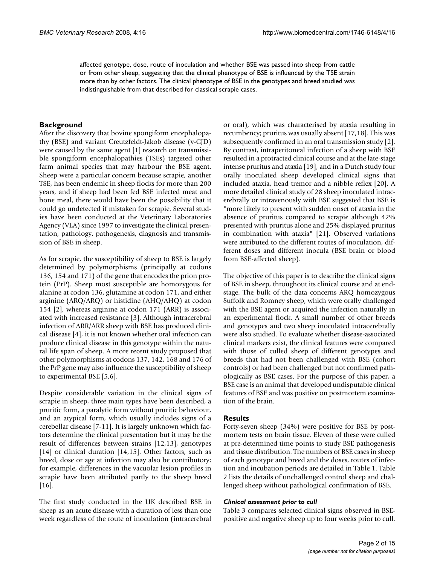affected genotype, dose, route of inoculation and whether BSE was passed into sheep from cattle or from other sheep, suggesting that the clinical phenotype of BSE is influenced by the TSE strain more than by other factors. The clinical phenotype of BSE in the genotypes and breed studied was indistinguishable from that described for classical scrapie cases.

### **Background**

After the discovery that bovine spongiform encephalopathy (BSE) and variant Creutzfeldt-Jakob disease (v-CJD) were caused by the same agent [1] research on transmissible spongiform encephalopathies (TSEs) targeted other farm animal species that may harbour the BSE agent. Sheep were a particular concern because scrapie, another TSE, has been endemic in sheep flocks for more than 200 years, and if sheep had been fed BSE infected meat and bone meal, there would have been the possibility that it could go undetected if mistaken for scrapie. Several studies have been conducted at the Veterinary Laboratories Agency (VLA) since 1997 to investigate the clinical presentation, pathology, pathogenesis, diagnosis and transmission of BSE in sheep.

As for scrapie, the susceptibility of sheep to BSE is largely determined by polymorphisms (principally at codons 136, 154 and 171) of the gene that encodes the prion protein (PrP). Sheep most susceptible are homozygous for alanine at codon 136, glutamine at codon 171, and either arginine (ARQ/ARQ) or histidine (AHQ/AHQ) at codon 154 [2], whereas arginine at codon 171 (ARR) is associated with increased resistance [3]. Although intracerebral infection of ARR/ARR sheep with BSE has produced clinical disease [4], it is not known whether oral infection can produce clinical disease in this genotype within the natural life span of sheep. A more recent study proposed that other polymorphisms at codons 137, 142, 168 and 176 of the PrP gene may also influence the susceptibility of sheep to experimental BSE [5,6].

Despite considerable variation in the clinical signs of scrapie in sheep, three main types have been described, a pruritic form, a paralytic form without pruritic behaviour, and an atypical form, which usually includes signs of a cerebellar disease [7-11]. It is largely unknown which factors determine the clinical presentation but it may be the result of differences between strains [12,13], genotypes [14] or clinical duration [14,15]. Other factors, such as breed, dose or age at infection may also be contributory; for example, differences in the vacuolar lesion profiles in scrapie have been attributed partly to the sheep breed [16].

The first study conducted in the UK described BSE in sheep as an acute disease with a duration of less than one week regardless of the route of inoculation (intracerebral

or oral), which was characterised by ataxia resulting in recumbency; pruritus was usually absent [17,18]. This was subsequently confirmed in an oral transmission study [2]. By contrast, intraperitoneal infection of a sheep with BSE resulted in a protracted clinical course and at the late-stage intense pruritus and ataxia [19], and in a Dutch study four orally inoculated sheep developed clinical signs that included ataxia, head tremor and a nibble reflex [20]. A more detailed clinical study of 28 sheep inoculated intracerebrally or intravenously with BSE suggested that BSE is "more likely to present with sudden onset of ataxia in the absence of pruritus compared to scrapie although 42% presented with pruritus alone and 25% displayed pruritus in combination with ataxia" [21]. Observed variations were attributed to the different routes of inoculation, different doses and different inocula (BSE brain or blood from BSE-affected sheep).

The objective of this paper is to describe the clinical signs of BSE in sheep, throughout its clinical course and at endstage. The bulk of the data concerns ARQ homozygous Suffolk and Romney sheep, which were orally challenged with the BSE agent or acquired the infection naturally in an experimental flock. A small number of other breeds and genotypes and two sheep inoculated intracerebrally were also studied. To evaluate whether disease-associated clinical markers exist, the clinical features were compared with those of culled sheep of different genotypes and breeds that had not been challenged with BSE (cohort controls) or had been challenged but not confirmed pathologically as BSE cases. For the purpose of this paper, a BSE case is an animal that developed undisputable clinical features of BSE and was positive on postmortem examination of the brain.

#### **Results**

Forty-seven sheep (34%) were positive for BSE by postmortem tests on brain tissue. Eleven of these were culled at pre-determined time points to study BSE pathogenesis and tissue distribution. The numbers of BSE cases in sheep of each genotype and breed and the doses, routes of infection and incubation periods are detailed in Table 1. Table 2 lists the details of unchallenged control sheep and challenged sheep without pathological confirmation of BSE.

#### *Clinical assessment prior to cull*

Table 3 compares selected clinical signs observed in BSEpositive and negative sheep up to four weeks prior to cull.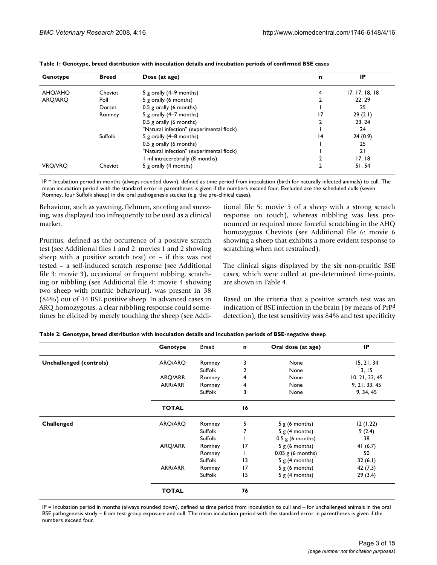| Genotype       | <b>Breed</b> | Dose (at age)                            | n               | ΙP             |
|----------------|--------------|------------------------------------------|-----------------|----------------|
| AHO/AHO        | Cheviot      | 5 g orally $(4-9$ months)                | 4               | 17, 17, 18, 18 |
| ARQ/ARQ        | Poll         | 5 g orally (6 months)                    |                 | 22.29          |
|                | Dorset       | $0.5$ g orally (6 months)                |                 | 25             |
|                | Romney       | 5 g orally $(4-7$ months)                | 17              | 29(2.1)        |
|                |              | 0.5 g orally (6 months)                  |                 | 23, 24         |
|                |              | "Natural infection" (experimental flock) |                 | 24             |
|                | Suffolk      | 5 g orally $(4-8$ months)                | $\overline{14}$ | 24(0.9)        |
|                |              | 0.5 g orally (6 months)                  |                 | 25             |
|                |              | "Natural infection" (experimental flock) |                 | 21             |
|                |              | ml intracerebrally (8 months)            |                 | 17,18          |
| <b>VRO/VRO</b> | Cheviot      | 5 g orally (4 months)                    |                 | 51, 54         |

|  |  |  |  |  | Table 1: Genotype, breed distribution with inoculation details and incubation periods of confirmed BSE cases |
|--|--|--|--|--|--------------------------------------------------------------------------------------------------------------|
|--|--|--|--|--|--------------------------------------------------------------------------------------------------------------|

IP = Incubation period in months (always rounded down), defined as time period from inoculation (birth for naturally infected animals) to cull. The mean incubation period with the standard error in parentheses is given if the numbers exceed four. Excluded are the scheduled culls (seven Romney, four Suffolk sheep) in the oral pathogenesis studies (e.g. the pre-clinical cases).

Behaviour, such as yawning, flehmen, snorting and sneezing, was displayed too infrequently to be used as a clinical marker.

Pruritus, defined as the occurrence of a positive scratch test (see Additional files 1 and 2: movies 1 and 2 showing sheep with a positive scratch test) or – if this was not tested – a self-induced scratch response (see Additional file 3: movie 3), occasional or frequent rubbing, scratching or nibbling (see Additional file 4: movie 4 showing two sheep with pruritic behaviour), was present in 38 (86%) out of 44 BSE positive sheep. In advanced cases in ARQ homozygotes, a clear nibbling response could sometimes be elicited by merely touching the sheep (see Additional file 5: movie 5 of a sheep with a strong scratch response on touch), whereas nibbling was less pronounced or required more forceful scratching in the AHQ homozygous Cheviots (see Additional file 6: movie 6 showing a sheep that exhibits a more evident response to scratching when not restrained).

The clinical signs displayed by the six non-pruritic BSE cases, which were culled at pre-determined time-points, are shown in Table 4.

Based on the criteria that a positive scratch test was an indication of BSE infection in the brain (by means of PrPd detection), the test sensitivity was 84% and test specificity

|                                | Genotype     | Breed   | $\mathbf n$ | Oral dose (at age)  | IP             |
|--------------------------------|--------------|---------|-------------|---------------------|----------------|
| <b>Unchallenged (controls)</b> | ARQ/ARQ      | Romney  | 3           | None                | 15, 21, 34     |
|                                |              | Suffolk | 2           | None                | 3, 15          |
|                                | ARQ/ARR      | Romney  | 4           | None                | 10, 21, 33, 45 |
|                                | ARR/ARR      | Romney  | 4           | None                | 9, 21, 33, 45  |
|                                |              | Suffolk | 3           | None                | 9, 34, 45      |
|                                | <b>TOTAL</b> |         | 16          |                     |                |
| Challenged                     | ARQ/ARQ      | Romney  | 5           | 5 g (6 months)      | 12(1.22)       |
|                                |              | Suffolk | 7           | 5 g (4 months)      | 9(2.4)         |
|                                |              | Suffolk |             | $0.5$ g (6 months)  | 38             |
|                                | ARQ/ARR      | Romney  | 17          | 5 g (6 months)      | 41 $(6.7)$     |
|                                |              | Romney  |             | $0.05$ g (6 months) | 50             |
|                                |              | Suffolk | 13          | 5 g (4 months)      | 32(6.1)        |
|                                | ARR/ARR      | Romney  | 17          | 5 g (6 months)      | 42 (7.3)       |
|                                |              | Suffolk | 15          | 5 g (4 months)      | 29(3.4)        |
|                                | <b>TOTAL</b> |         | 76          |                     |                |

**Table 2: Genotype, breed distribution with inoculation details and incubation periods of BSE-negative sheep**

IP = Incubation period in months (always rounded down), defined as time period from inoculation to cull and – for unchallenged animals in the oral BSE pathogenesis study – from test group exposure and cull. The mean incubation period with the standard error in parentheses is given if the numbers exceed four.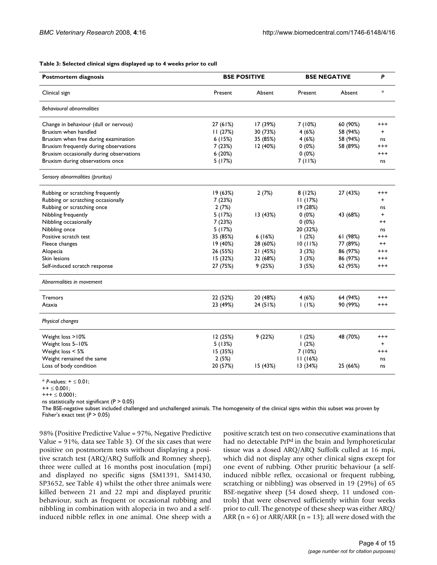| Table 3: Selected clinical signs displayed up to 4 weeks prior to cull |  |  |
|------------------------------------------------------------------------|--|--|
|------------------------------------------------------------------------|--|--|

| Postmortem diagnosis                     |          | <b>BSE POSITIVE</b> | <b>BSE NEGATIVE</b> | P        |                 |
|------------------------------------------|----------|---------------------|---------------------|----------|-----------------|
| Clinical sign                            | Present  | Absent              | Present             | Absent   | $\ast$          |
| <b>Behavioural abnormalities</b>         |          |                     |                     |          |                 |
| Change in behaviour (dull or nervous)    | 27(61%)  | 17 (39%)            | 7(10%)              | 60 (90%) | $^{++}$         |
| Bruxism when handled                     | 11(27%)  | 30 (73%)            | 4(6%)               | 58 (94%) | +               |
| Bruxism when free during examination     | 6(15%)   | 35 (85%)            | 4(6%)               | 58 (94%) | ns              |
| Bruxism frequently during observations   | 7(23%)   | 12 (40%)            | $0(0\%)$            | 58 (89%) | $^{++}$         |
| Bruxism occasionally during observations | 6(20%)   |                     | $0(0\%)$            |          | $^{+++}$        |
| Bruxism during observations once         | 5(17%)   |                     | 7(11%)              |          | ns              |
| Sensory abnormalities (pruritus)         |          |                     |                     |          |                 |
| Rubbing or scratching frequently         | 19 (63%) | 2(7%)               | 8(12%)              | 27 (43%) | $^{+++}$        |
| Rubbing or scratching occasionally       | 7(23%)   |                     | 11(17%)             |          | $\ddot{}$       |
| Rubbing or scratching once               | 2(7%)    |                     | 19 (28%)            |          | ns              |
| Nibbling frequently                      | 5(17%)   | 13 (43%)            | $0(0\%)$            | 43 (68%) | $\ddot{}$       |
| Nibbling occasionally                    | 7(23%)   |                     | $0(0\%)$            |          | $^{\mathrm{+}}$ |
| Nibbling once                            | 5(17%)   |                     | 20 (32%)            |          | ns              |
| Positive scratch test                    | 35 (85%) | 6(16%)              | (2%)                | 61 (98%) | $^{++}$         |
| Fleece changes                           | 19 (40%) | 28 (60%)            | 10(11%)             | 77 (89%) | $^{\mathrm{+}}$ |
| Alopecia                                 | 26 (55%) | 21 (45%)            | 3(3%)               | 86 (97%) | $^{+++}$        |
| Skin lesions                             | 15 (32%) | 32 (68%)            | 3(3%)               | 86 (97%) | $^{+++}$        |
| Self-induced scratch response            | 27 (75%) | 9(25%)              | 3(5%)               | 62 (95%) | $^{++}$         |
| Abnormalities in movement                |          |                     |                     |          |                 |
| <b>Tremors</b>                           | 22 (52%) | 20 (48%)            | 4(6%)               | 64 (94%) | $^{++}$         |
| Ataxia                                   | 23 (49%) | 24 (51%)            | 1(1%)               | 90 (99%) | $^{+++}$        |
| Physical changes                         |          |                     |                     |          |                 |
| Weight loss >10%                         | 12 (25%) | 9(22%)              | 1(2%)               | 48 (70%) | $^{+++}$        |
| Weight loss 5-10%                        | 5(13%)   |                     | 1(2%)               |          | +               |
| Weight loss < 5%                         | 15 (35%) |                     | 7 (10%)             |          | $^{++}$         |
| Weight remained the same                 | 2(5%)    |                     | 11(16%)             |          | ns              |
| Loss of body condition                   | 20 (57%) | 15(43%)             | 13(34%)             | 25 (66%) | ns              |
|                                          |          |                     |                     |          |                 |

\* *P*-values: + ≤ 0.01;

 $++ \leq 0.001$ ;

 $+++ \leq 0.0001$ ;

ns statistically not significant  $(P > 0.05)$ 

The BSE-negative subset included challenged and unchallenged animals. The homogeneity of the clinical signs within this subset was proven by Fisher's exact test  $(P > 0.05)$ 

98% (Positive Predictive Value = 97%, Negative Predictive Value = 91%, data see Table 3). Of the six cases that were positive on postmortem tests without displaying a positive scratch test (ARQ/ARQ Suffolk and Romney sheep), three were culled at 16 months post inoculation (mpi) and displayed no specific signs (SM1391, SM1430, SP3652, see Table 4) whilst the other three animals were killed between 21 and 22 mpi and displayed pruritic behaviour, such as frequent or occasional rubbing and nibbling in combination with alopecia in two and a selfinduced nibble reflex in one animal. One sheep with a positive scratch test on two consecutive examinations that had no detectable PrPd in the brain and lymphoreticular tissue was a dosed ARQ/ARQ Suffolk culled at 16 mpi, which did not display any other clinical signs except for one event of rubbing. Other pruritic behaviour (a selfinduced nibble reflex, occasional or frequent rubbing, scratching or nibbling) was observed in 19 (29%) of 65 BSE-negative sheep (54 dosed sheep, 11 undosed controls) that were observed sufficiently within four weeks prior to cull. The genotype of these sheep was either ARQ/ ARR ( $n = 6$ ) or ARR/ARR ( $n = 13$ ); all were dosed with the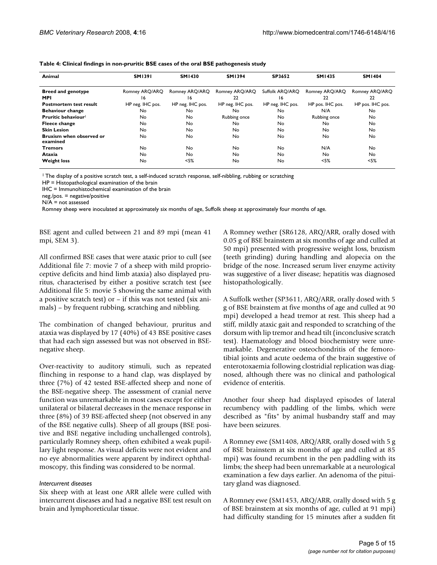| Animal                                      | <b>SM1391</b>        | <b>SM1430</b>        | <b>SM1394</b>        | SP3652                | <b>SM1435</b>        | <b>SM1404</b>        |
|---------------------------------------------|----------------------|----------------------|----------------------|-----------------------|----------------------|----------------------|
| <b>Breed and genotype</b><br><b>MPI</b>     | Romney ARQ/ARQ<br>16 | Romney ARQ/ARQ<br>16 | Romney ARQ/ARQ<br>22 | Suffolk ARQ/ARQ<br>16 | Romney ARQ/ARQ<br>22 | Romney ARQ/ARQ<br>22 |
| <b>Postmortem test result</b>               | HP neg. IHC pos.     | HP neg. IHC pos.     | HP neg. IHC pos.     | HP neg. IHC pos.      | HP pos. IHC pos.     | HP pos. IHC pos.     |
| <b>Behaviour change</b>                     | <b>No</b>            | No                   | No                   | No                    | N/A                  | No                   |
| Pruritic behaviour!                         | <b>No</b>            | No.                  | Rubbing once         | No                    | Rubbing once         | No                   |
| <b>Fleece change</b>                        | <b>No</b>            | No.                  | No                   | No                    | <b>No</b>            | No                   |
| <b>Skin Lesion</b>                          | <b>No</b>            | No.                  | N <sub>o</sub>       | No                    | <b>No</b>            | No                   |
| <b>Bruxism when observed or</b><br>examined | No                   | No                   | No                   | No                    | <b>No</b>            | No                   |
| <b>Tremors</b>                              | No                   | No                   | No                   | No                    | N/A                  | No                   |
| Ataxia                                      | N <sub>o</sub>       | No.                  | No                   | No                    | <b>No</b>            | No                   |
| <b>Weight loss</b>                          | No                   | $<$ 5%               | No                   | No                    | $<$ 5%               | < 5%                 |

**Table 4: Clinical findings in non-pruritic BSE cases of the oral BSE pathogenesis study**

1 The display of a positive scratch test, a self-induced scratch response, self-nibbling, rubbing or scratching

HP = Histopathological examination of the brain

IHC = Immunohistochemical examination of the brain

neg./pos. = negative/positive

N/A = not assessed

Romney sheep were inoculated at approximately six months of age, Suffolk sheep at approximately four months of age.

BSE agent and culled between 21 and 89 mpi (mean 41 mpi, SEM 3).

All confirmed BSE cases that were ataxic prior to cull (see Additional file 7: movie 7 of a sheep with mild proprioceptive deficits and hind limb ataxia) also displayed pruritus, characterised by either a positive scratch test (see Additional file 5: movie 5 showing the same animal with a positive scratch test) or – if this was not tested (six animals) – by frequent rubbing, scratching and nibbling.

The combination of changed behaviour, pruritus and ataxia was displayed by 17 (40%) of 43 BSE positive cases that had each sign assessed but was not observed in BSEnegative sheep.

Over-reactivity to auditory stimuli, such as repeated flinching in response to a hand clap, was displayed by three (7%) of 42 tested BSE-affected sheep and none of the BSE-negative sheep. The assessment of cranial nerve function was unremarkable in most cases except for either unilateral or bilateral decreases in the menace response in three (8%) of 39 BSE-affected sheep (not observed in any of the BSE negative culls). Sheep of all groups (BSE positive and BSE negative including unchallenged controls), particularly Romney sheep, often exhibited a weak pupillary light response. As visual deficits were not evident and no eye abnormalities were apparent by indirect ophthalmoscopy, this finding was considered to be normal.

#### *Intercurrent diseases*

Six sheep with at least one ARR allele were culled with intercurrent diseases and had a negative BSE test result on brain and lymphoreticular tissue.

A Romney wether (SR6128, ARQ/ARR, orally dosed with 0.05 g of BSE brainstem at six months of age and culled at 50 mpi) presented with progressive weight loss, bruxism (teeth grinding) during handling and alopecia on the bridge of the nose. Increased serum liver enzyme activity was suggestive of a liver disease; hepatitis was diagnosed histopathologically.

A Suffolk wether (SP3611, ARQ/ARR, orally dosed with 5 g of BSE brainstem at five months of age and culled at 90 mpi) developed a head tremor at rest. This sheep had a stiff, mildly ataxic gait and responded to scratching of the dorsum with lip tremor and head tilt (inconclusive scratch test). Haematology and blood biochemistry were unremarkable. Degenerative osteochondritis of the femorotibial joints and acute oedema of the brain suggestive of enterotoxaemia following clostridial replication was diagnosed, although there was no clinical and pathological evidence of enteritis.

Another four sheep had displayed episodes of lateral recumbency with paddling of the limbs, which were described as "fits" by animal husbandry staff and may have been seizures.

A Romney ewe (SM1408, ARQ/ARR, orally dosed with 5 g of BSE brainstem at six months of age and culled at 85 mpi) was found recumbent in the pen paddling with its limbs; the sheep had been unremarkable at a neurological examination a few days earlier. An adenoma of the pituitary gland was diagnosed.

A Romney ewe (SM1453, ARQ/ARR, orally dosed with 5 g of BSE brainstem at six months of age, culled at 91 mpi) had difficulty standing for 15 minutes after a sudden fit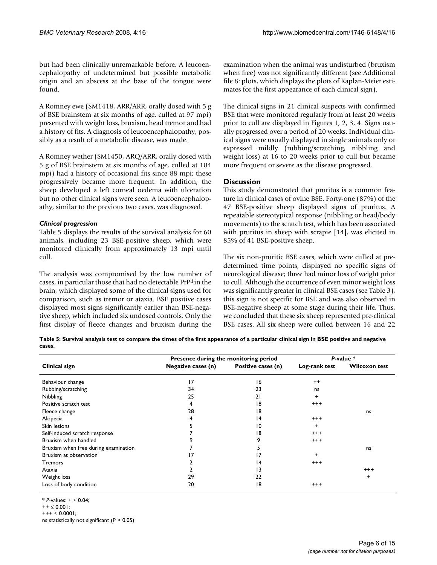but had been clinically unremarkable before. A leucoencephalopathy of undetermined but possible metabolic origin and an abscess at the base of the tongue were found.

A Romney ewe (SM1418, ARR/ARR, orally dosed with 5 g of BSE brainstem at six months of age, culled at 97 mpi) presented with weight loss, bruxism, head tremor and had a history of fits. A diagnosis of leucoencephalopathy, possibly as a result of a metabolic disease, was made.

A Romney wether (SM1450, ARQ/ARR, orally dosed with 5 g of BSE brainstem at six months of age, culled at 104 mpi) had a history of occasional fits since 88 mpi; these progressively became more frequent. In addition, the sheep developed a left corneal oedema with ulceration but no other clinical signs were seen. A leucoencephalopathy, similar to the previous two cases, was diagnosed.

#### *Clinical progression*

Table 5 displays the results of the survival analysis for 60 animals, including 23 BSE-positive sheep, which were monitored clinically from approximately 13 mpi until cull.

The analysis was compromised by the low number of cases, in particular those that had no detectable PrPd in the brain, which displayed some of the clinical signs used for comparison, such as tremor or ataxia. BSE positive cases displayed most signs significantly earlier than BSE-negative sheep, which included six undosed controls. Only the first display of fleece changes and bruxism during the examination when the animal was undisturbed (bruxism when free) was not significantly different (see Additional file 8: plots, which displays the plots of Kaplan-Meier estimates for the first appearance of each clinical sign).

The clinical signs in 21 clinical suspects with confirmed BSE that were monitored regularly from at least 20 weeks prior to cull are displayed in Figures 1, 2, 3, 4. Signs usually progressed over a period of 20 weeks. Individual clinical signs were usually displayed in single animals only or expressed mildly (rubbing/scratching, nibbling and weight loss) at 16 to 20 weeks prior to cull but became more frequent or severe as the disease progressed.

### **Discussion**

This study demonstrated that pruritus is a common feature in clinical cases of ovine BSE. Forty-one (87%) of the 47 BSE-positive sheep displayed signs of pruritus. A repeatable stereotypical response (nibbling or head/body movements) to the scratch test, which has been associated with pruritus in sheep with scrapie [14], was elicited in 85% of 41 BSE-positive sheep.

The six non-pruritic BSE cases, which were culled at predetermined time points, displayed no specific signs of neurological disease; three had minor loss of weight prior to cull. Although the occurrence of even minor weight loss was significantly greater in clinical BSE cases (see Table 3), this sign is not specific for BSE and was also observed in BSE-negative sheep at some stage during their life. Thus, we concluded that these six sheep represented pre-clinical BSE cases. All six sheep were culled between 16 and 22

**Table 5: Survival analysis test to compare the times of the first appearance of a particular clinical sign in BSE positive and negative cases.**

|                                      | Presence during the monitoring period | $P-value$ *        |               |                      |
|--------------------------------------|---------------------------------------|--------------------|---------------|----------------------|
| Clinical sign                        | Negative cases (n)                    | Positive cases (n) | Log-rank test | <b>Wilcoxon test</b> |
| Behaviour change                     | 17                                    | 16                 | $++$          |                      |
| Rubbing/scratching                   | 34                                    | 23                 | ns            |                      |
| Nibbling                             | 25                                    | 21                 | $\ddot{}$     |                      |
| Positive scratch test                | 4                                     | 18                 | $^{+++}$      |                      |
| Fleece change                        | 28                                    | 18                 |               | ns                   |
| Alopecia                             |                                       | 4                  | $^{+++}$      |                      |
| Skin lesions                         |                                       | 10                 | $\ddot{}$     |                      |
| Self-induced scratch response        |                                       | 18                 | $^{+++}$      |                      |
| Bruxism when handled                 |                                       |                    | $^{+++}$      |                      |
| Bruxism when free during examination |                                       |                    |               | ns                   |
| Bruxism at observation               |                                       |                    | $\ddot{}$     |                      |
| <b>Tremors</b>                       |                                       | 14                 | $^{+++}$      |                      |
| Ataxia                               |                                       | $\overline{13}$    |               | $^{+++}$             |
| Weight loss                          | 29                                    | 22                 |               | $\ddot{}$            |
| Loss of body condition               | 20                                    | 18                 | $^{+++}$      |                      |

\* *P*-values: + ≤ 0.04;

 $++ \leq 0.001;$ 

 $+++ < 0.0001$ :

ns statistically not significant  $(P > 0.05)$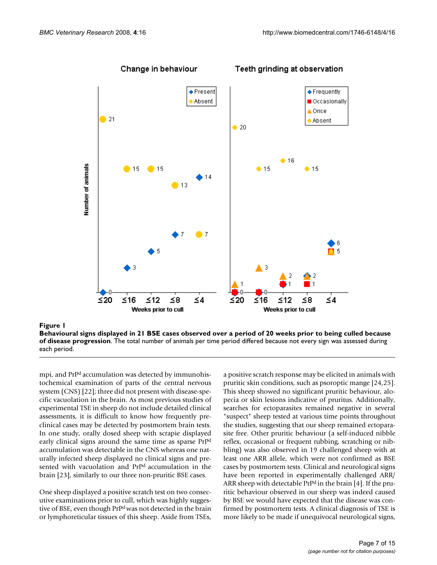

**Behavioural signs displayed in 21 BSE cases observed over a period of 20 weeks prior to being culled because of disease progression**. The total number of animals per time period differed because not every sign was assessed during each period.

mpi, and PrPd accumulation was detected by immunohistochemical examination of parts of the central nervous system (CNS) [22]; three did not present with disease-specific vacuolation in the brain. As most previous studies of experimental TSE in sheep do not include detailed clinical assessments, it is difficult to know how frequently preclinical cases may be detected by postmortem brain tests. In one study, orally dosed sheep with scrapie displayed early clinical signs around the same time as sparse PrPd accumulation was detectable in the CNS whereas one naturally infected sheep displayed no clinical signs and presented with vacuolation and PrPd accumulation in the brain [23], similarly to our three non-pruritic BSE cases.

One sheep displayed a positive scratch test on two consecutive examinations prior to cull, which was highly suggestive of BSE, even though PrPd was not detected in the brain or lymphoreticular tissues of this sheep. Aside from TSEs,

a positive scratch response may be elicited in animals with pruritic skin conditions, such as psoroptic mange [24,25]. This sheep showed no significant pruritic behaviour, alopecia or skin lesions indicative of pruritus. Additionally, searches for ectoparasites remained negative in several "suspect" sheep tested at various time points throughout the studies, suggesting that our sheep remained ectoparasite free. Other pruritic behaviour (a self-induced nibble reflex, occasional or frequent rubbing, scratching or nibbling) was also observed in 19 challenged sheep with at least one ARR allele, which were not confirmed as BSE cases by postmortem tests. Clinical and neurological signs have been reported in experimentally challenged ARR/ ARR sheep with detectable PrPd in the brain [4]. If the pruritic behaviour observed in our sheep was indeed caused by BSE we would have expected that the disease was confirmed by postmortem tests. A clinical diagnosis of TSE is more likely to be made if unequivocal neurological signs,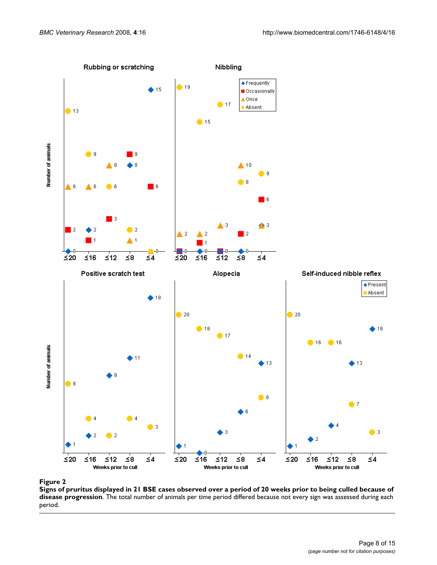

**Figure 2** Signs of provided in 21 BSE cases observed over a period over a period over a period over a period o **Signs of pruritus displayed in 21 BSE cases observed over a period of 20 weeks prior to being culled because of disease progression**. The total number of animals per time period differed because not every sign was assessed during each period.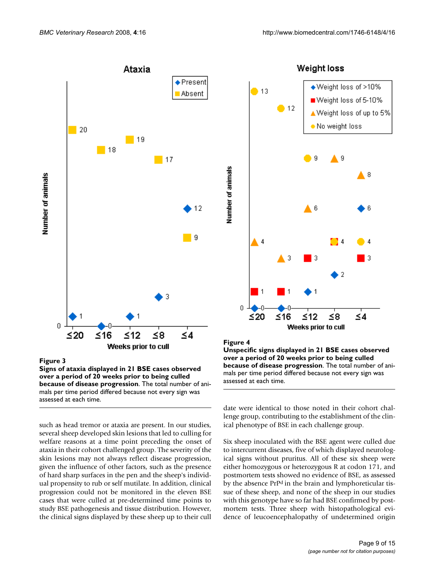

#### Figure 3

**Signs of ataxia displayed in 21 BSE cases observed over a period of 20 weeks prior to being culled because of disease progression**. The total number of animals per time period differed because not every sign was assessed at each time.

such as head tremor or ataxia are present. In our studies, several sheep developed skin lesions that led to culling for welfare reasons at a time point preceding the onset of ataxia in their cohort challenged group. The severity of the skin lesions may not always reflect disease progression, given the influence of other factors, such as the presence of hard sharp surfaces in the pen and the sheep's individual propensity to rub or self mutilate. In addition, clinical progression could not be monitored in the eleven BSE cases that were culled at pre-determined time points to study BSE pathogenesis and tissue distribution. However, the clinical signs displayed by these sheep up to their cull



#### Figure 4

**Unspecific signs displayed in 21 BSE cases observed over a period of 20 weeks prior to being culled because of disease progression**. The total number of animals per time period differed because not every sign was assessed at each time.

date were identical to those noted in their cohort challenge group, contributing to the establishment of the clinical phenotype of BSE in each challenge group.

Six sheep inoculated with the BSE agent were culled due to intercurrent diseases, five of which displayed neurological signs without pruritus. All of these six sheep were either homozygous or heterozygous R at codon 171, and postmortem tests showed no evidence of BSE, as assessed by the absence PrPd in the brain and lymphoreticular tissue of these sheep, and none of the sheep in our studies with this genotype have so far had BSE confirmed by postmortem tests. Three sheep with histopathological evidence of leucoencephalopathy of undetermined origin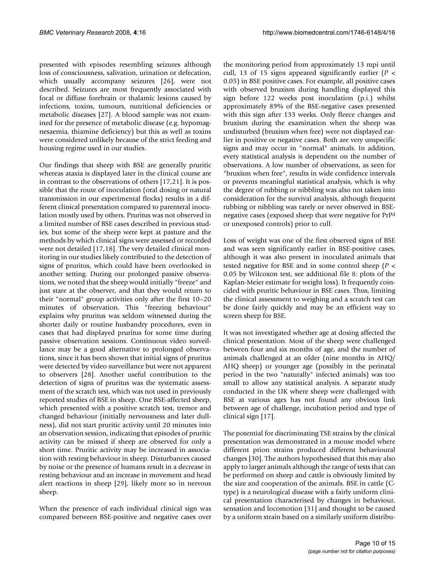presented with episodes resembling seizures although loss of consciousness, salivation, urination or defecation, which usually accompany seizures [26], were not described. Seizures are most frequently associated with focal or diffuse forebrain or thalamic lesions caused by infections, toxins, tumours, nutritional deficiencies or metabolic diseases [27]. A blood sample was not examined for the presence of metabolic disease (e.g. hypomagnesaemia, thiamine deficiency) but this as well as toxins were considered unlikely because of the strict feeding and housing regime used in our studies.

Our findings that sheep with BSE are generally pruritic whereas ataxia is displayed later in the clinical course are in contrast to the observations of others [17,21]. It is possible that the route of inoculation (oral dosing or natural transmission in our experimental flocks) results in a different clinical presentation compared to parenteral inoculation mostly used by others. Pruritus was not observed in a limited number of BSE cases described in previous studies, but some of the sheep were kept at pasture and the methods by which clinical signs were assessed or recorded were not detailed [17,18]. The very detailed clinical monitoring in our studies likely contributed to the detection of signs of pruritus, which could have been overlooked in another setting. During our prolonged passive observations, we noted that the sheep would initially "freeze" and just stare at the observer, and that they would return to their "normal" group activities only after the first 10–20 minutes of observation. This "freezing behaviour" explains why pruritus was seldom witnessed during the shorter daily or routine husbandry procedures, even in cases that had displayed pruritus for some time during passive observation sessions. Continuous video surveillance may be a good alternative to prolonged observations, since it has been shown that initial signs of pruritus were detected by video surveillance but were not apparent to observers [28]. Another useful contribution to the detection of signs of pruritus was the systematic assessment of the scratch test, which was not used in previously reported studies of BSE in sheep. One BSE-affected sheep, which presented with a positive scratch test, tremor and changed behaviour (initially nervousness and later dullness), did not start pruritic activity until 20 minutes into an observation session, indicating that episodes of pruritic activity can be missed if sheep are observed for only a short time. Pruritic activity may be increased in association with resting behaviour in sheep. Disturbances caused by noise or the presence of humans result in a decrease in resting behaviour and an increase in movement and head alert reactions in sheep [29], likely more so in nervous sheep.

When the presence of each individual clinical sign was compared between BSE-positive and negative cases over the monitoring period from approximately 13 mpi until cull, 13 of 15 signs appeared significantly earlier (*P* < 0.05) in BSE positive cases. For example, all positive cases with observed bruxism during handling displayed this sign before 122 weeks post inoculation (p.i.) whilst approximately 89% of the BSE-negative cases presented with this sign after 133 weeks. Only fleece changes and bruxism during the examination when the sheep was undisturbed (bruxism when free) were not displayed earlier in positive or negative cases. Both are very unspecific signs and may occur in "normal" animals. In addition, every statistical analysis is dependent on the number of observations. A low number of observations, as seen for "bruxism when free", results in wide confidence intervals or prevents meaningful statistical analysis, which is why the degree of rubbing or nibbling was also not taken into consideration for the survival analysis, although frequent rubbing or nibbling was rarely or never observed in BSEnegative cases (exposed sheep that were negative for PrPd or unexposed controls) prior to cull.

Loss of weight was one of the first observed signs of BSE and was seen significantly earlier in BSE-positive cases, although it was also present in inoculated animals that tested negative for BSE and in some control sheep (*P* < 0.05 by Wilcoxon test, see additional file 8: plots of the Kaplan-Meier estimate for weight loss). It frequently coincided with pruritic behaviour in BSE cases. Thus, limiting the clinical assessment to weighing and a scratch test can be done fairly quickly and may be an efficient way to screen sheep for BSE.

It was not investigated whether age at dosing affected the clinical presentation. Most of the sheep were challenged between four and six months of age, and the number of animals challenged at an older (nine months in AHQ/ AHQ sheep) or younger age (possibly in the perinatal period in the two "naturally" infected animals) was too small to allow any statistical analysis. A separate study conducted in the UK where sheep were challenged with BSE at various ages has not found any obvious link between age of challenge, incubation period and type of clinical sign [17].

The potential for discriminating TSE strains by the clinical presentation was demonstrated in a mouse model where different prion strains produced different behavioural changes [30]. The authors hypothesised that this may also apply to larger animals although the range of tests that can be performed on sheep and cattle is obviously limited by the size and cooperation of the animals. BSE in cattle (Ctype) is a neurological disease with a fairly uniform clinical presentation characterised by changes in behaviour, sensation and locomotion [31] and thought to be caused by a uniform strain based on a similarly uniform distribu-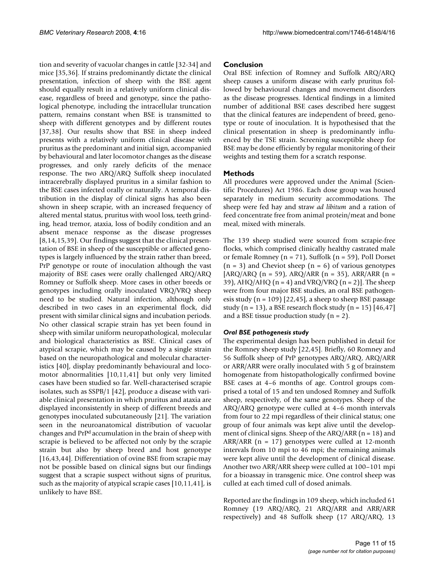tion and severity of vacuolar changes in cattle [32-34] and mice [35,36]. If strains predominantly dictate the clinical presentation, infection of sheep with the BSE agent should equally result in a relatively uniform clinical disease, regardless of breed and genotype, since the pathological phenotype, including the intracellular truncation pattern, remains constant when BSE is transmitted to sheep with different genotypes and by different routes [37,38]. Our results show that BSE in sheep indeed presents with a relatively uniform clinical disease with pruritus as the predominant and initial sign, accompanied by behavioural and later locomotor changes as the disease progresses, and only rarely deficits of the menace response. The two ARQ/ARQ Suffolk sheep inoculated intracerebrally displayed pruritus in a similar fashion to the BSE cases infected orally or naturally. A temporal distribution in the display of clinical signs has also been shown in sheep scrapie, with an increased frequency of altered mental status, pruritus with wool loss, teeth grinding, head tremor, ataxia, loss of bodily condition and an absent menace response as the disease progresses [8,14,15,39]. Our findings suggest that the clinical presentation of BSE in sheep of the susceptible or affected genotypes is largely influenced by the strain rather than breed, PrP genotype or route of inoculation although the vast majority of BSE cases were orally challenged ARQ/ARQ Romney or Suffolk sheep. More cases in other breeds or genotypes including orally inoculated VRQ/VRQ sheep need to be studied. Natural infection, although only described in two cases in an experimental flock, did present with similar clinical signs and incubation periods. No other classical scrapie strain has yet been found in sheep with similar uniform neuropathological, molecular and biological characteristics as BSE. Clinical cases of atypical scrapie, which may be caused by a single strain based on the neuropathological and molecular characteristics [40], display predominantly behavioural and locomotor abnormalities [10,11,41] but only very limited cases have been studied so far. Well-characterised scrapie isolates, such as SSPB/1 [42], produce a disease with variable clinical presentation in which pruritus and ataxia are displayed inconsistently in sheep of different breeds and genotypes inoculated subcutaneously [21]. The variation seen in the neuroanatomical distribution of vacuolar changes and PrPd accumulation in the brain of sheep with scrapie is believed to be affected not only by the scrapie strain but also by sheep breed and host genotype [16,43,44]. Differentiation of ovine BSE from scrapie may not be possible based on clinical signs but our findings suggest that a scrapie suspect without signs of pruritus, such as the majority of atypical scrapie cases [10,11,41], is unlikely to have BSE.

#### **Conclusion**

Oral BSE infection of Romney and Suffolk ARQ/ARQ sheep causes a uniform disease with early pruritus followed by behavioural changes and movement disorders as the disease progresses. Identical findings in a limited number of additional BSE cases described here suggest that the clinical features are independent of breed, genotype or route of inoculation. It is hypothesised that the clinical presentation in sheep is predominantly influenced by the TSE strain. Screening susceptible sheep for BSE may be done efficiently by regular monitoring of their weights and testing them for a scratch response.

#### **Methods**

All procedures were approved under the Animal (Scientific Procedures) Act 1986. Each dose group was housed separately in medium security accommodations. The sheep were fed hay and straw *ad libitum* and a ration of feed concentrate free from animal protein/meat and bone meal, mixed with minerals.

The 139 sheep studied were sourced from scrapie-free flocks, which comprised clinically healthy castrated male or female Romney (n = 71), Suffolk (n = 59), Poll Dorset  $(n = 3)$  and Cheviot sheep  $(n = 6)$  of various genotypes  $[ARQ/ARQ (n = 59), ARQ/ARR (n = 35), ARR/ARR (n = 159)]$ 39), AHQ/AHQ  $(n = 4)$  and VRQ/VRQ  $(n = 2)$ ]. The sheep were from four major BSE studies, an oral BSE pathogenesis study ( $n = 109$ ) [22,45], a sheep to sheep BSE passage study (n = 13), a BSE research flock study (n = 15)  $[46, 47]$ and a BSE tissue production study  $(n = 2)$ .

#### *Oral BSE pathogenesis study*

The experimental design has been published in detail for the Romney sheep study [22,45]. Briefly, 60 Romney and 56 Suffolk sheep of PrP genotypes ARQ/ARQ, ARQ/ARR or ARR/ARR were orally inoculated with 5 g of brainstem homogenate from histopathologically confirmed bovine BSE cases at 4–6 months of age. Control groups comprised a total of 15 and ten undosed Romney and Suffolk sheep, respectively, of the same genotypes. Sheep of the ARQ/ARQ genotype were culled at 4–6 month intervals from four to 22 mpi regardless of their clinical status; one group of four animals was kept alive until the development of clinical signs. Sheep of the ARQ/ARR (n = 18) and ARR/ARR (n = 17) genotypes were culled at 12-month intervals from 10 mpi to 46 mpi; the remaining animals were kept alive until the development of clinical disease. Another two ARR/ARR sheep were culled at 100–101 mpi for a bioassay in transgenic mice. One control sheep was culled at each timed cull of dosed animals.

Reported are the findings in 109 sheep, which included 61 Romney (19 ARQ/ARQ, 21 ARQ/ARR and ARR/ARR respectively) and 48 Suffolk sheep (17 ARQ/ARQ, 13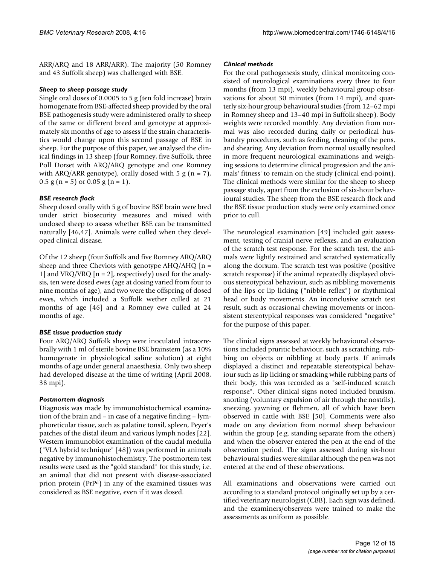ARR/ARQ and 18 ARR/ARR). The majority (50 Romney and 43 Suffolk sheep) was challenged with BSE.

#### *Sheep to sheep passage study*

Single oral doses of 0.0005 to 5 g (ten fold increase) brain homogenate from BSE-affected sheep provided by the oral BSE pathogenesis study were administered orally to sheep of the same or different breed and genotype at approximately six months of age to assess if the strain characteristics would change upon this second passage of BSE in sheep. For the purpose of this paper, we analysed the clinical findings in 13 sheep (four Romney, five Suffolk, three Poll Dorset with ARQ/ARQ genotype and one Romney with ARQ/ARR genotype), orally dosed with 5 g ( $n = 7$ ),  $0.5$  g (n = 5) or  $0.05$  g (n = 1).

#### *BSE research flock*

Sheep dosed orally with 5 g of bovine BSE brain were bred under strict biosecurity measures and mixed with undosed sheep to assess whether BSE can be transmitted naturally [46,47]. Animals were culled when they developed clinical disease.

Of the 12 sheep (four Suffolk and five Romney ARQ/ARQ sheep and three Cheviots with genotype  $AHQ/AHQ$  [n = 1] and VRQ/VRQ  $[n = 2]$ , respectively) used for the analysis, ten were dosed ewes (age at dosing varied from four to nine months of age), and two were the offspring of dosed ewes, which included a Suffolk wether culled at 21 months of age [46] and a Romney ewe culled at 24 months of age.

#### *BSE tissue production study*

Four ARQ/ARQ Suffolk sheep were inoculated intracerebrally with 1 ml of sterile bovine BSE brainstem (as a 10% homogenate in physiological saline solution) at eight months of age under general anaesthesia. Only two sheep had developed disease at the time of writing (April 2008, 38 mpi).

#### *Postmortem diagnosis*

Diagnosis was made by immunohistochemical examination of the brain and – in case of a negative finding – lymphoreticular tissue, such as palatine tonsil, spleen, Peyer's patches of the distal ileum and various lymph nodes [22]. Western immunoblot examination of the caudal medulla ("VLA hybrid technique" [48]) was performed in animals negative by immunohistochemistry. The postmortem test results were used as the "gold standard" for this study; i.e. an animal that did not present with disease-associated prion protein (PrPd) in any of the examined tissues was considered as BSE negative, even if it was dosed.

#### *Clinical methods*

For the oral pathogenesis study, clinical monitoring consisted of neurological examinations every three to four months (from 13 mpi), weekly behavioural group observations for about 30 minutes (from 14 mpi), and quarterly six-hour group behavioural studies (from 12–62 mpi in Romney sheep and 13–40 mpi in Suffolk sheep). Body weights were recorded monthly. Any deviation from normal was also recorded during daily or periodical husbandry procedures, such as feeding, cleaning of the pens, and shearing. Any deviation from normal usually resulted in more frequent neurological examinations and weighing sessions to determine clinical progression and the animals' fitness' to remain on the study (clinical end-point). The clinical methods were similar for the sheep to sheep passage study, apart from the exclusion of six-hour behavioural studies. The sheep from the BSE research flock and the BSE tissue production study were only examined once prior to cull.

The neurological examination [49] included gait assessment, testing of cranial nerve reflexes, and an evaluation of the scratch test response. For the scratch test, the animals were lightly restrained and scratched systematically along the dorsum. The scratch test was positive (positive scratch response) if the animal repeatedly displayed obvious stereotypical behaviour, such as nibbling movements of the lips or lip licking ("nibble reflex") or rhythmical head or body movements. An inconclusive scratch test result, such as occasional chewing movements or inconsistent stereotypical responses was considered "negative" for the purpose of this paper.

The clinical signs assessed at weekly behavioural observations included pruritic behaviour, such as scratching, rubbing on objects or nibbling at body parts. If animals displayed a distinct and repeatable stereotypical behaviour such as lip licking or smacking while rubbing parts of their body, this was recorded as a "self-induced scratch response". Other clinical signs noted included bruxism, snorting (voluntary expulsion of air through the nostrils), sneezing, yawning or flehmen, all of which have been observed in cattle with BSE [50]. Comments were also made on any deviation from normal sheep behaviour within the group (e.g. standing separate from the others) and when the observer entered the pen at the end of the observation period. The signs assessed during six-hour behavioural studies were similar although the pen was not entered at the end of these observations.

All examinations and observations were carried out according to a standard protocol originally set up by a certified veterinary neurologist (CBB). Each sign was defined, and the examiners/observers were trained to make the assessments as uniform as possible.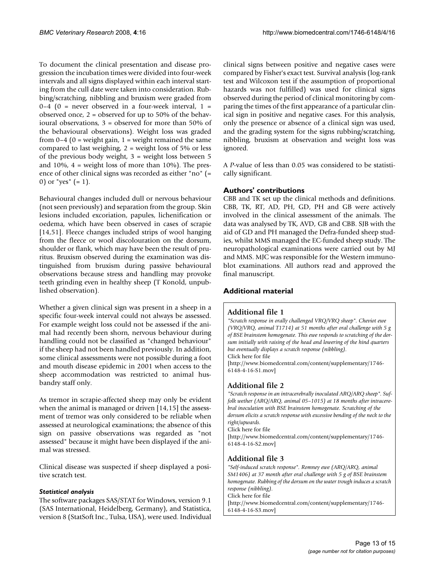To document the clinical presentation and disease progression the incubation times were divided into four-week intervals and all signs displayed within each interval starting from the cull date were taken into consideration. Rubbing/scratching, nibbling and bruxism were graded from 0–4 (0 = never observed in a four-week interval,  $1 =$ observed once,  $2 =$  observed for up to 50% of the behavioural observations, 3 = observed for more than 50% of the behavioural observations). Weight loss was graded from  $0-4$  ( $0 =$  weight gain,  $1 =$  weight remained the same compared to last weighing,  $2 =$  weight loss of 5% or less of the previous body weight, 3 = weight loss between 5 and 10%,  $4$  = weight loss of more than 10%). The presence of other clinical signs was recorded as either "no" (= 0) or "yes"  $(= 1)$ .

Behavioural changes included dull or nervous behaviour (not seen previously) and separation from the group. Skin lesions included excoriation, papules, lichenification or oedema, which have been observed in cases of scrapie [14,51]. Fleece changes included strips of wool hanging from the fleece or wool discolouration on the dorsum, shoulder or flank, which may have been the result of pruritus. Bruxism observed during the examination was distinguished from bruxism during passive behavioural observations because stress and handling may provoke teeth grinding even in healthy sheep (T Konold, unpublished observation).

Whether a given clinical sign was present in a sheep in a specific four-week interval could not always be assessed. For example weight loss could not be assessed if the animal had recently been shorn, nervous behaviour during handling could not be classified as "changed behaviour" if the sheep had not been handled previously. In addition, some clinical assessments were not possible during a foot and mouth disease epidemic in 2001 when access to the sheep accommodation was restricted to animal husbandry staff only.

As tremor in scrapie-affected sheep may only be evident when the animal is managed or driven [14,15] the assessment of tremor was only considered to be reliable when assessed at neurological examinations; the absence of this sign on passive observations was regarded as "not assessed" because it might have been displayed if the animal was stressed.

Clinical disease was suspected if sheep displayed a positive scratch test.

#### *Statistical analysis*

The software packages SAS/STAT for Windows, version 9.1 (SAS International, Heidelberg, Germany), and Statistica, version 8 (StatSoft Inc., Tulsa, USA), were used. Individual

clinical signs between positive and negative cases were compared by Fisher's exact test. Survival analysis (log-rank test and Wilcoxon test if the assumption of proportional hazards was not fulfilled) was used for clinical signs observed during the period of clinical monitoring by comparing the times of the first appearance of a particular clinical sign in positive and negative cases. For this analysis, only the presence or absence of a clinical sign was used, and the grading system for the signs rubbing/scratching, nibbling, bruxism at observation and weight loss was ignored.

A *P*-value of less than 0.05 was considered to be statistically significant.

### **Authors' contributions**

CBB and TK set up the clinical methods and definitions. CBB, TK, RT, AD, PH, GD, PH and GB were actively involved in the clinical assessment of the animals. The data was analysed by TK, AVD, GB and CBB. SJB with the aid of GD and PH managed the Defra-funded sheep studies, whilst MMS managed the EC-funded sheep study. The neuropathological examinations were carried out by MJ and MMS. MJC was responsible for the Western immunoblot examinations. All authors read and approved the final manuscript.

# **Additional material**

#### **Additional file 1**

*"Scratch response in orally challenged VRQ/VRQ sheep". Cheviot ewe (VRQ/VRQ, animal T1714) at 51 months after oral challenge with 5 g of BSE brainstem homogenate. This ewe responds to scratching of the dorsum initially with raising of the head and lowering of the hind quarters but eventually displays a scratch response (nibbling).* Click here for file [\[http://www.biomedcentral.com/content/supplementary/1746-](http://www.biomedcentral.com/content/supplementary/1746-6148-4-16-S1.mov)

6148-4-16-S1.mov]

# **Additional file 2**

*"Scratch response in an intracerebrally inoculated ARQ/ARQ sheep". Suffolk wether (ARQ/ARQ, animal 05–1015) at 18 months after intracerebral inoculation with BSE brainstem homogenate. Scratching of the dorsum elicits a scratch response with excessive bending of the neck to the right/upwards.*

Click here for file

[\[http://www.biomedcentral.com/content/supplementary/1746-](http://www.biomedcentral.com/content/supplementary/1746-6148-4-16-S2.mov) 6148-4-16-S2.mov]

# **Additional file 3**

*"Self-induced scratch response". Romney ewe (ARQ/ARQ, animal SM1406) at 37 month after oral challenge with 5 g of BSE brainstem homogenate. Rubbing of the dorsum on the water trough induces a scratch response (nibbling).* Click here for file [\[http://www.biomedcentral.com/content/supplementary/1746-](http://www.biomedcentral.com/content/supplementary/1746-6148-4-16-S3.mov) 6148-4-16-S3.mov]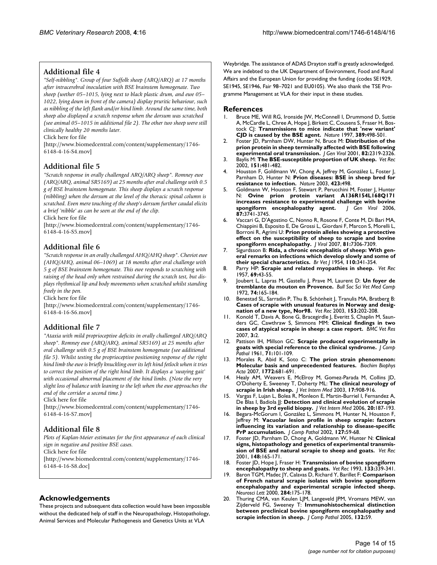## **Additional file 4**

*"Self-nibbling". Group of four Suffolk sheep (ARQ/ARQ) at 17 months after intracerebral inoculation with BSE brainstem homogenate. Two sheep (wether 05–1015, lying next to black plastic drum, and ewe 05– 1022, lying down in front of the camera) display pruritic behaviour, such as nibbling of the left flank and/or hind limb. Around the same time, both sheep also displayed a scratch response when the dorsum was scratched (see animal 05–1015 in additional file 2). The other two sheep were still clinically healthy 20 months later.*

Click here for file

[\[http://www.biomedcentral.com/content/supplementary/1746-](http://www.biomedcentral.com/content/supplementary/1746-6148-4-16-S4.mov) 6148-4-16-S4.mov]

### **Additional file 5**

*"Scratch response in orally challenged ARQ/ARQ sheep". Romney ewe (ARQ/ARQ, animal SR5169) at 25 months after oral challenge with 0.5 g of BSE brainstem homogenate. This sheep displays a scratch response (nibbling) when the dorsum at the level of the thoracic spinal column is scratched. Even mere touching of the sheep's dorsum further caudal elicits a brief 'nibble' as can be seen at the end of the clip.*

Click here for file

[\[http://www.biomedcentral.com/content/supplementary/1746-](http://www.biomedcentral.com/content/supplementary/1746-6148-4-16-S5.mov) 6148-4-16-S5.mov]

# **Additional file 6**

*"Scratch response in an orally challenged AHQ/AHQ sheep". Cheviot ewe (AHQ/AHQ, animal 06–1069) at 18 months after oral challenge with 5 g of BSE brainstem homogenate. This ewe responds to scratching with raising of the head only when restrained during the scratch test, but displays rhythmical lip and body movements when scratched whilst standing freely in the pen.*

Click here for file

[\[http://www.biomedcentral.com/content/supplementary/1746-](http://www.biomedcentral.com/content/supplementary/1746-6148-4-16-S6.mov) 6148-4-16-S6.mov]

# **Additional file 7**

*"Ataxia with mild proprioceptive deficits in orally challenged ARQ/ARQ sheep". Romney ewe (ARQ/ARQ, animal SR5169) at 25 months after oral challenge with 0.5 g of BSE brainstem homogenate (see additional file 5). Whilst testing the proprioceptive positioning response of the right hind limb the ewe is briefly knuckling over its left hind fetlock when it tries to correct the position of the right hind limb. It displays a 'swaying gait' with occasional abnormal placement of the hind limbs. (Note the very slight loss of balance with leaning to the left when the ewe approaches the end of the corridor a second time.)*

Click here for file

[\[http://www.biomedcentral.com/content/supplementary/1746-](http://www.biomedcentral.com/content/supplementary/1746-6148-4-16-S7.mov) 6148-4-16-S7.mov]

# **Additional file 8**

*Plots of Kaplan-Meier estimates for the first appearance of each clinical sign in negative and positive BSE cases.*

Click here for file

[\[http://www.biomedcentral.com/content/supplementary/1746-](http://www.biomedcentral.com/content/supplementary/1746-6148-4-16-S8.doc) 6148-4-16-S8.doc]

# **Acknowledgements**

These projects and subsequent data collection would have been impossible without the dedicated help of staff in the Neuropathology, Histopathology, Animal Services and Molecular Pathogenesis and Genetics Units at VLA

Weybridge. The assistance of ADAS Drayton staff is greatly acknowledged. We are indebted to the UK Department of Environment, Food and Rural Affairs and the European Union for providing the funding (codes SE1929, SE1945, SE1946, Fair 98–7021 and EU0105). We also thank the TSE Programme Management at VLA for their input in these studies.

#### **References**

- 1. Bruce ME, Will RG, Ironside JW, McConnell I, Drummond D, Suttie A, McCardle L, Chree A, Hope J, Birkett C, Cousens S, Fraser H, Bostock CJ: **[Transmissions to mice indicate that 'new variant'](http://www.ncbi.nlm.nih.gov/entrez/query.fcgi?cmd=Retrieve&db=PubMed&dopt=Abstract&list_uids=9333239) [CJD is caused by the BSE agent.](http://www.ncbi.nlm.nih.gov/entrez/query.fcgi?cmd=Retrieve&db=PubMed&dopt=Abstract&list_uids=9333239)** *Nature* 1997, **389:**498-501.
- 2. Foster JD, Parnham DW, Hunter N, Bruce M: **[Distribution of the](http://www.ncbi.nlm.nih.gov/entrez/query.fcgi?cmd=Retrieve&db=PubMed&dopt=Abstract&list_uids=11562525) [prion protein in sheep terminally affected with BSE following](http://www.ncbi.nlm.nih.gov/entrez/query.fcgi?cmd=Retrieve&db=PubMed&dopt=Abstract&list_uids=11562525) [experimental oral transmission.](http://www.ncbi.nlm.nih.gov/entrez/query.fcgi?cmd=Retrieve&db=PubMed&dopt=Abstract&list_uids=11562525)** *J Gen Virol* 2001, **82:**2319-2326.
- 3. Baylis M: **[The BSE-susceptible proportion of UK sheep.](http://www.ncbi.nlm.nih.gov/entrez/query.fcgi?cmd=Retrieve&db=PubMed&dopt=Abstract&list_uids=12418532)** *Vet Rec* 2002, **151:**481-482.
- 4. Houston F, Goldmann W, Chong A, Jeffrey M, González L, Foster J, Parnham D, Hunter N: **[Prion diseases: BSE in sheep bred for](http://www.ncbi.nlm.nih.gov/entrez/query.fcgi?cmd=Retrieve&db=PubMed&dopt=Abstract&list_uids=12774113) [resistance to infection.](http://www.ncbi.nlm.nih.gov/entrez/query.fcgi?cmd=Retrieve&db=PubMed&dopt=Abstract&list_uids=12774113)** *Nature* 2003, **423:**498.
- 5. Goldmann W, Houston F, Stewart P, Perucchini M, Foster J, Hunter N: **[Ovine prion protein variant A136R154L168Q171](http://www.ncbi.nlm.nih.gov/entrez/query.fcgi?cmd=Retrieve&db=PubMed&dopt=Abstract&list_uids=17098993) [increases resistance to experimental challenge with bovine](http://www.ncbi.nlm.nih.gov/entrez/query.fcgi?cmd=Retrieve&db=PubMed&dopt=Abstract&list_uids=17098993) [spongiform encephalopathy agent.](http://www.ncbi.nlm.nih.gov/entrez/query.fcgi?cmd=Retrieve&db=PubMed&dopt=Abstract&list_uids=17098993)** *J Gen Virol* 2006, **87:**3741-3745.
- 6. Vaccari G, D'Agostino C, Nonno R, Rosone F, Conte M, Di Bari MA, Chiappini B, Esposito E, De Grossi L, Giordani F, Marcon S, Morelli L, Borroni R, Agrimi U: **[Prion protein alleles showing a protective](http://www.ncbi.nlm.nih.gov/entrez/query.fcgi?cmd=Retrieve&db=PubMed&dopt=Abstract&list_uids=17442723) [effect on the susceptibility of sheep to scrapie and bovine](http://www.ncbi.nlm.nih.gov/entrez/query.fcgi?cmd=Retrieve&db=PubMed&dopt=Abstract&list_uids=17442723) [spongiform encephalopathy.](http://www.ncbi.nlm.nih.gov/entrez/query.fcgi?cmd=Retrieve&db=PubMed&dopt=Abstract&list_uids=17442723)** *J Virol* 2007, **81:**7306-7309.
- 7. Sigurdsson B: **Rida, a chronic encephalitis of sheep: With general remarks on infections which develop slowly and some of their special characteristics.** *Br Vet J* 1954, **110:**341-354.
- 8. Parry HP: **Scrapie and related myopathies in sheep.** *Vet Rec* 1957, **69:**43-55.
- 9. Joubert L, Lapras M, Gastellu J, Prave M, Laurent D: **Un foyer de tremblante du mouton en Provence.** *Bull Soc Sci Vet Med Comp* 1972, **74:**165-184.
- 10. Benestad SL, Sarradin P, Thu B, Schönheit J, Tranulis MA, Bratberg B: **[Cases of scrapie with unusual features in Norway and desig](http://www.ncbi.nlm.nih.gov/entrez/query.fcgi?cmd=Retrieve&db=PubMed&dopt=Abstract&list_uids=12956297)[nation of a new type, Nor98.](http://www.ncbi.nlm.nih.gov/entrez/query.fcgi?cmd=Retrieve&db=PubMed&dopt=Abstract&list_uids=12956297)** *Vet Rec* 2003, **153:**202-208.
- 11. Konold T, Davis A, Bone G, Bracegirdle J, Everitt S, Chaplin M, Saunders GC, Cawthraw S, Simmons MM: **[Clinical findings in two](http://www.ncbi.nlm.nih.gov/entrez/query.fcgi?cmd=Retrieve&db=PubMed&dopt=Abstract&list_uids=17298670) [cases of atypical scrapie in sheep: a case report.](http://www.ncbi.nlm.nih.gov/entrez/query.fcgi?cmd=Retrieve&db=PubMed&dopt=Abstract&list_uids=17298670)** *BMC Vet Res* 2007, **3:**2.
- 12. Pattison IH, Millson GC: **[Scrapie produced experimentally in](http://www.ncbi.nlm.nih.gov/entrez/query.fcgi?cmd=Retrieve&db=PubMed&dopt=Abstract&list_uids=13733383) [goats with special reference to the clinical syndrome.](http://www.ncbi.nlm.nih.gov/entrez/query.fcgi?cmd=Retrieve&db=PubMed&dopt=Abstract&list_uids=13733383)** *J Comp Pathol* 1961, **71:**101-109.
- 13. Morales R, Abid K, Soto C: **[The prion strain phenomenon:](http://www.ncbi.nlm.nih.gov/entrez/query.fcgi?cmd=Retrieve&db=PubMed&dopt=Abstract&list_uids=17254754) [Molecular basis and unprecedented features.](http://www.ncbi.nlm.nih.gov/entrez/query.fcgi?cmd=Retrieve&db=PubMed&dopt=Abstract&list_uids=17254754)** *Biochim Biophys Acta* 2007, **1772:**681-691.
- 14. Healy AM, Weavers E, McElroy M, Gomez-Parada M, Collins JD, O'Doherty E, Sweeney T, Doherty ML: **[The clinical neurology of](http://www.ncbi.nlm.nih.gov/entrez/query.fcgi?cmd=Retrieve&db=PubMed&dopt=Abstract&list_uids=14658730) [scrapie in Irish sheep.](http://www.ncbi.nlm.nih.gov/entrez/query.fcgi?cmd=Retrieve&db=PubMed&dopt=Abstract&list_uids=14658730)** *J Vet Intern Med* 2003, **17:**908-916.
- 15. Vargas F, Lujan L, Bolea R, Monleon E, Martin-Burriel I, Fernandez A, De Blas I, Badiola JJ: **[Detection and clinical evolution of scrapie](http://www.ncbi.nlm.nih.gov/entrez/query.fcgi?cmd=Retrieve&db=PubMed&dopt=Abstract&list_uids=16496940) [in sheep by 3rd eyelid biopsy.](http://www.ncbi.nlm.nih.gov/entrez/query.fcgi?cmd=Retrieve&db=PubMed&dopt=Abstract&list_uids=16496940)** *J Vet Intern Med* 2006, **20:**187-193.
- 16. Begara-McGorum I, González L, Simmons M, Hunter N, Houston F, Jeffrey M: **[Vacuolar lesion profile in sheep scrapie: factors](http://www.ncbi.nlm.nih.gov/entrez/query.fcgi?cmd=Retrieve&db=PubMed&dopt=Abstract&list_uids=12354546) [influencing its variation and relationship to disease-specific](http://www.ncbi.nlm.nih.gov/entrez/query.fcgi?cmd=Retrieve&db=PubMed&dopt=Abstract&list_uids=12354546) [PrP accumulation.](http://www.ncbi.nlm.nih.gov/entrez/query.fcgi?cmd=Retrieve&db=PubMed&dopt=Abstract&list_uids=12354546)** *J Comp Pathol* 2002, **127:**59-68.
- 17. Foster JD, Parnham D, Chong A, Goldmann W, Hunter N: **[Clinical](http://www.ncbi.nlm.nih.gov/entrez/query.fcgi?cmd=Retrieve&db=PubMed&dopt=Abstract&list_uids=11258721) [signs, histopathology and genetics of experimental transmis](http://www.ncbi.nlm.nih.gov/entrez/query.fcgi?cmd=Retrieve&db=PubMed&dopt=Abstract&list_uids=11258721)[sion of BSE and natural scrapie to sheep and goats.](http://www.ncbi.nlm.nih.gov/entrez/query.fcgi?cmd=Retrieve&db=PubMed&dopt=Abstract&list_uids=11258721)** *Vet Rec* 2001, **148:**165-171.
- 18. Foster JD, Hope J, Fraser H: **[Transmission of bovine spongiform](http://www.ncbi.nlm.nih.gov/entrez/query.fcgi?cmd=Retrieve&db=PubMed&dopt=Abstract&list_uids=8236676) [encephalopathy to sheep and goats.](http://www.ncbi.nlm.nih.gov/entrez/query.fcgi?cmd=Retrieve&db=PubMed&dopt=Abstract&list_uids=8236676)** *Vet Rec* 1993, **133:**339-341.
- 19. Baron TGM, Madec JY, Calavas D, Richard Y, Barillet F: **[Comparison](http://www.ncbi.nlm.nih.gov/entrez/query.fcgi?cmd=Retrieve&db=PubMed&dopt=Abstract&list_uids=10773427) of French natural scrapie isolates with bovine spongiform [encephalopathy and experimental scrapie infected sheep.](http://www.ncbi.nlm.nih.gov/entrez/query.fcgi?cmd=Retrieve&db=PubMed&dopt=Abstract&list_uids=10773427)** *Neurosci Lett* 2000, **284:**175-178.
- 20. Thuring CMA, van Keulen LJM, Langeveld JPM, Vromans MEW, van Zijderveld FG, Sweeney T: **[Immunohistochemical distinction](http://www.ncbi.nlm.nih.gov/entrez/query.fcgi?cmd=Retrieve&db=PubMed&dopt=Abstract&list_uids=15629480) [between preclinical bovine spongiform encephalopathy and](http://www.ncbi.nlm.nih.gov/entrez/query.fcgi?cmd=Retrieve&db=PubMed&dopt=Abstract&list_uids=15629480) [scrapie infection in sheep.](http://www.ncbi.nlm.nih.gov/entrez/query.fcgi?cmd=Retrieve&db=PubMed&dopt=Abstract&list_uids=15629480)** *J Comp Pathol* 2005, **132:**59.